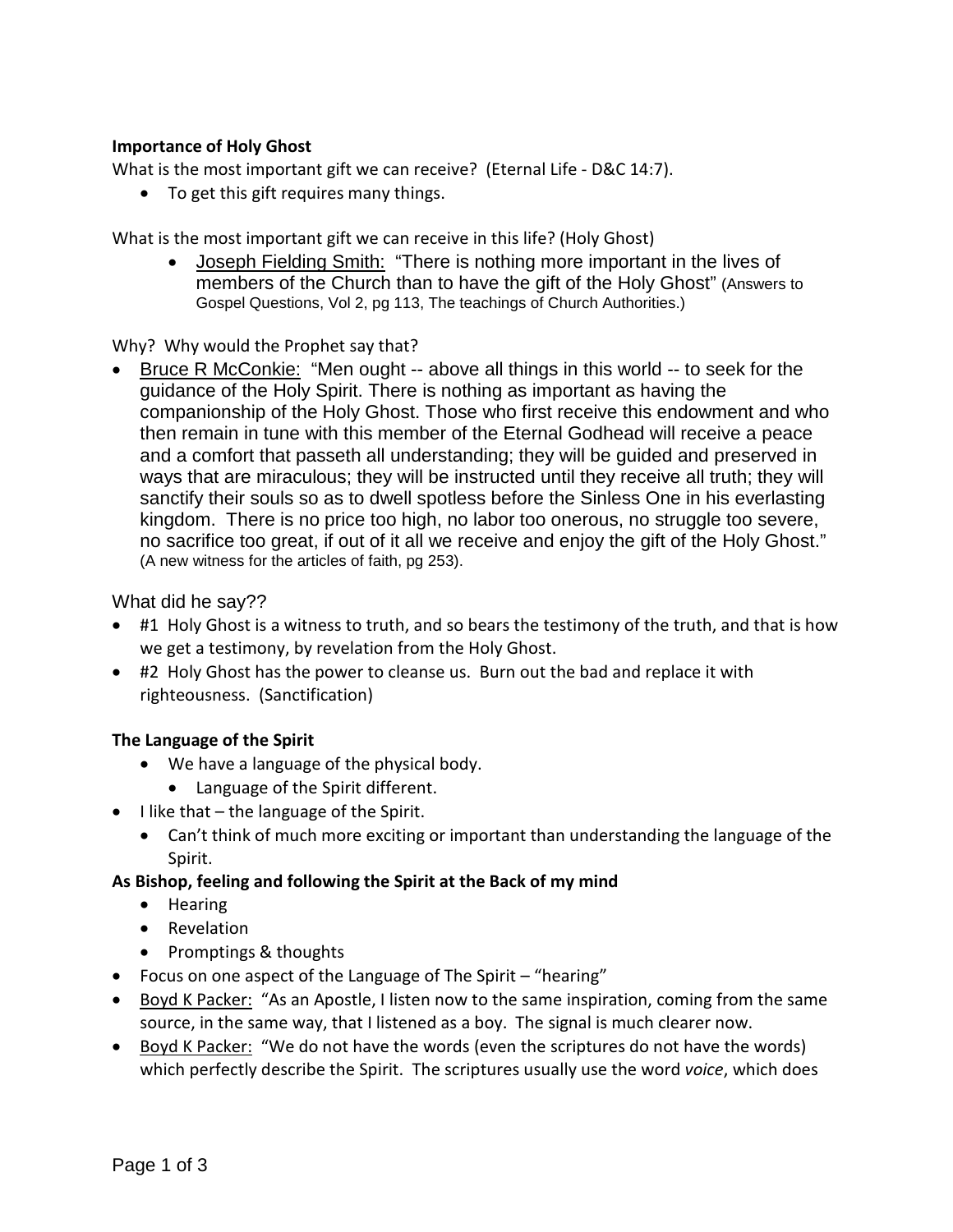# **Importance of Holy Ghost**

What is the most important gift we can receive? (Eternal Life - D&C 14:7).

• To get this gift requires many things.

What is the most important gift we can receive in this life? (Holy Ghost)

• Joseph Fielding Smith: "There is nothing more important in the lives of members of the Church than to have the gift of the Holy Ghost" (Answers to Gospel Questions, Vol 2, pg 113, The teachings of Church Authorities.)

Why? Why would the Prophet say that?

• Bruce R McConkie: "Men ought -- above all things in this world -- to seek for the guidance of the Holy Spirit. There is nothing as important as having the companionship of the Holy Ghost. Those who first receive this endowment and who then remain in tune with this member of the Eternal Godhead will receive a peace and a comfort that passeth all understanding; they will be guided and preserved in ways that are miraculous; they will be instructed until they receive all truth; they will sanctify their souls so as to dwell spotless before the Sinless One in his everlasting kingdom. There is no price too high, no labor too onerous, no struggle too severe, no sacrifice too great, if out of it all we receive and enjoy the gift of the Holy Ghost." (A new witness for the articles of faith, pg 253).

What did he say??

- #1 Holy Ghost is a witness to truth, and so bears the testimony of the truth, and that is how we get a testimony, by revelation from the Holy Ghost.
- #2 Holy Ghost has the power to cleanse us. Burn out the bad and replace it with righteousness. (Sanctification)

### **The Language of the Spirit**

- We have a language of the physical body.
	- Language of the Spirit different.
- I like that the language of the Spirit.
	- Can't think of much more exciting or important than understanding the language of the Spirit.

### **As Bishop, feeling and following the Spirit at the Back of my mind**

- Hearing
- Revelation
- Promptings & thoughts
- Focus on one aspect of the Language of The Spirit "hearing"
- Boyd K Packer: "As an Apostle, I listen now to the same inspiration, coming from the same source, in the same way, that I listened as a boy. The signal is much clearer now.
- Boyd K Packer: "We do not have the words (even the scriptures do not have the words) which perfectly describe the Spirit. The scriptures usually use the word *voice*, which does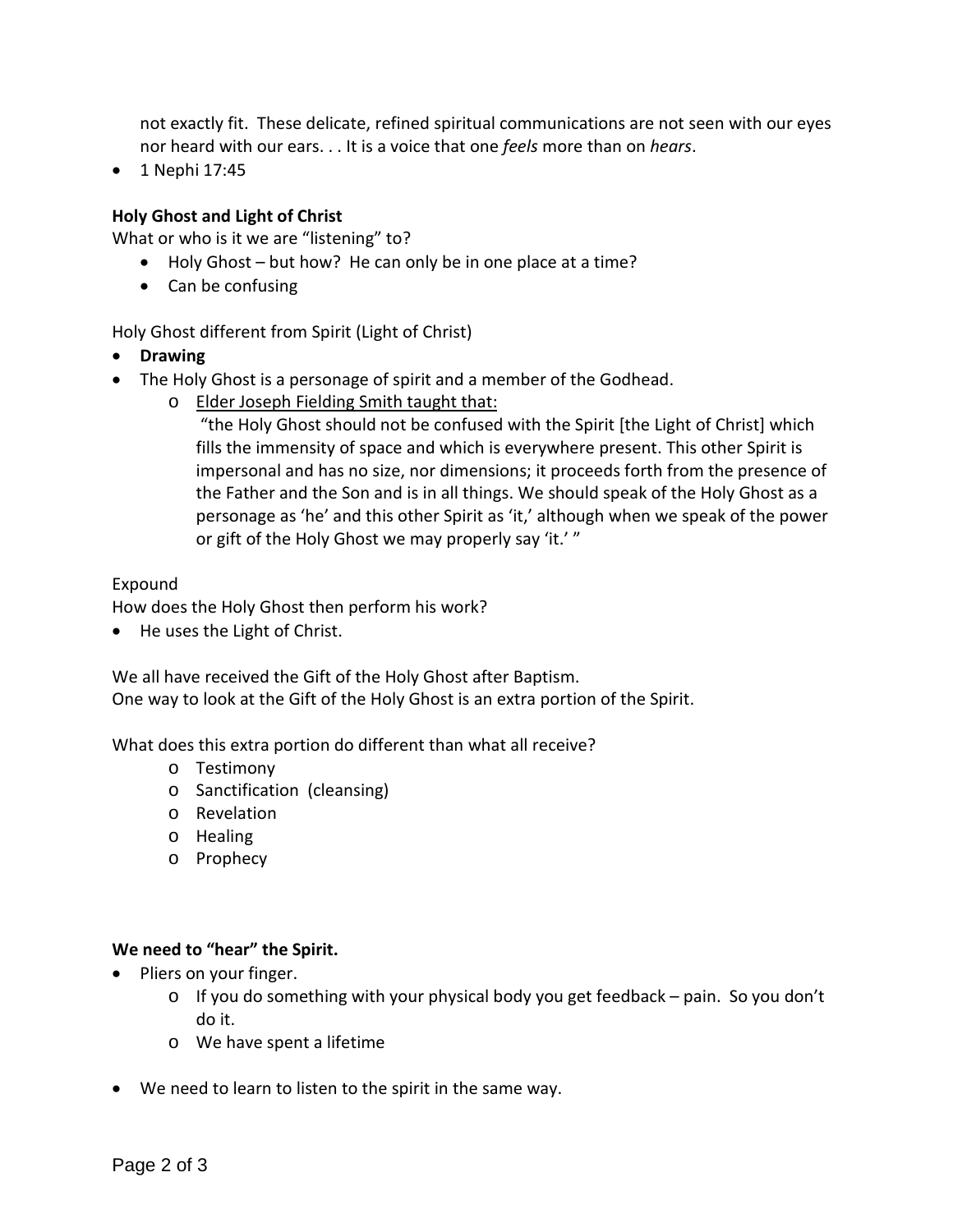not exactly fit. These delicate, refined spiritual communications are not seen with our eyes nor heard with our ears. . . It is a voice that one *feels* more than on *hears*.

• 1 Nephi 17:45

# **Holy Ghost and Light of Christ**

What or who is it we are "listening" to?

- Holy Ghost but how? He can only be in one place at a time?
- Can be confusing

Holy Ghost different from Spirit (Light of Christ)

- **Drawing**
- The Holy Ghost is a personage of spirit and a member of the Godhead.
	- o Elder Joseph Fielding Smith taught that:

"the Holy Ghost should not be confused with the Spirit [the Light of Christ] which fills the immensity of space and which is everywhere present. This other Spirit is impersonal and has no size, nor dimensions; it proceeds forth from the presence of the Father and the Son and is in all things. We should speak of the Holy Ghost as a personage as 'he' and this other Spirit as 'it,' although when we speak of the power or gift of the Holy Ghost we may properly say 'it.' "

### Expound

How does the Holy Ghost then perform his work?

• He uses the Light of Christ.

We all have received the Gift of the Holy Ghost after Baptism. One way to look at the Gift of the Holy Ghost is an extra portion of the Spirit.

What does this extra portion do different than what all receive?

- o Testimony
- o Sanctification (cleansing)
- o Revelation
- o Healing
- o Prophecy

### **We need to "hear" the Spirit.**

- Pliers on your finger.
	- $\circ$  If you do something with your physical body you get feedback pain. So you don't do it.
	- o We have spent a lifetime
- We need to learn to listen to the spirit in the same way.